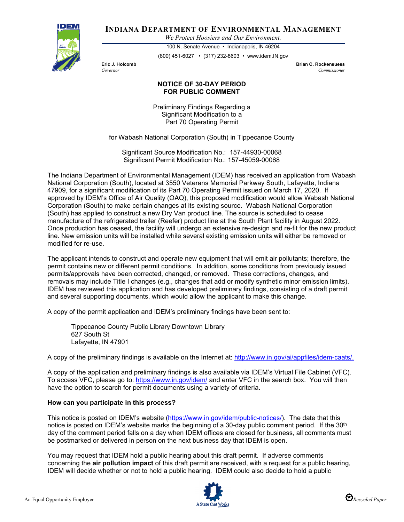

**INDIANA DEPARTMENT OF ENVIRONMENTAL MANAGEMENT**

*We Protect Hoosiers and Our Environment.*

100 N. Senate Avenue • Indianapolis, IN 46204 (800) 451-6027 • (317) 232-8603 • www.idem.IN.gov

**Eric J. Holcomb Brian C. Rockensuess** *Governor Commissioner* 

## **NOTICE OF 30-DAY PERIOD FOR PUBLIC COMMENT**

Preliminary Findings Regarding a Significant Modification to a Part 70 Operating Permit

for Wabash National Corporation (South) in Tippecanoe County

Significant Source Modification No.: 157-44930-00068 Significant Permit Modification No.: 157-45059-00068

The Indiana Department of Environmental Management (IDEM) has received an application from Wabash National Corporation (South), located at 3550 Veterans Memorial Parkway South, Lafayette, Indiana 47909, for a significant modification of its Part 70 Operating Permit issued on March 17, 2020. If approved by IDEM's Office of Air Quality (OAQ), this proposed modification would allow Wabash National Corporation (South) to make certain changes at its existing source. Wabash National Corporation (South) has applied to construct a new Dry Van product line. The source is scheduled to cease manufacture of the refrigerated trailer (Reefer) product line at the South Plant facility in August 2022. Once production has ceased, the facility will undergo an extensive re-design and re-fit for the new product line. New emission units will be installed while several existing emission units will either be removed or modified for re-use.

The applicant intends to construct and operate new equipment that will emit air pollutants; therefore, the permit contains new or different permit conditions. In addition, some conditions from previously issued permits/approvals have been corrected, changed, or removed. These corrections, changes, and removals may include Title I changes (e.g., changes that add or modify synthetic minor emission limits). IDEM has reviewed this application and has developed preliminary findings, consisting of a draft permit and several supporting documents, which would allow the applicant to make this change.

A copy of the permit application and IDEM's preliminary findings have been sent to:

Tippecanoe County Public Library Downtown Library 627 South St Lafayette, IN 47901

A copy of the preliminary findings is available on the Internet at: [http://www.in.gov/ai/appfiles/idem-caats/.](http://www.in.gov/ai/appfiles/idem-caats/)

A copy of the application and preliminary findings is also available via IDEM's Virtual File Cabinet (VFC). To access VFC, please go to:<https://www.in.gov/idem/> and enter VFC in the search box. You will then have the option to search for permit documents using a variety of criteria.

## **How can you participate in this process?**

This notice is posted on IDEM's website [\(https://www.in.gov/idem/public-notices/\)](https://www.in.gov/idem/public-notices/). The date that this notice is posted on IDEM's website marks the beginning of a 30-day public comment period. If the 30<sup>th</sup> day of the comment period falls on a day when IDEM offices are closed for business, all comments must be postmarked or delivered in person on the next business day that IDEM is open.

You may request that IDEM hold a public hearing about this draft permit. If adverse comments concerning the **air pollution impact** of this draft permit are received, with a request for a public hearing, IDEM will decide whether or not to hold a public hearing. IDEM could also decide to hold a public